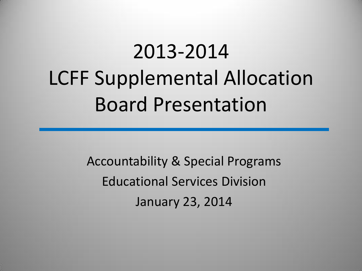# 2013-2014 LCFF Supplemental Allocation Board Presentation

Accountability & Special Programs Educational Services Division January 23, 2014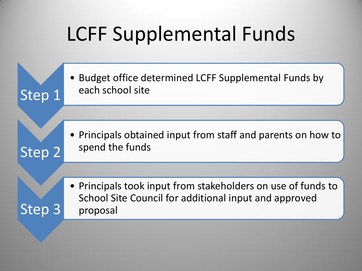## LCFF Supplemental Funds

Step 2

Step 3



• Principals obtained input from staff and parents on how to spend the funds

• Principals took input from stakeholders on use of funds to School Site Council for additional input and approved proposal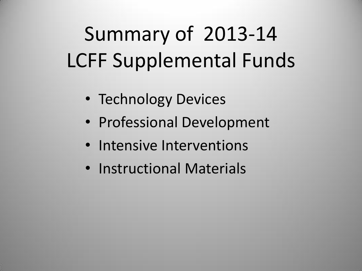# Summary of 2013-14 LCFF Supplemental Funds

- Technology Devices
- Professional Development
- Intensive Interventions
- Instructional Materials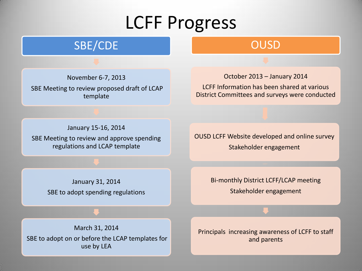### LCFF Progress

#### SBE/CDE

#### OUSD

November 6-7, 2013 SBE Meeting to review proposed draft of LCAP template

October 2013 – January 2014

LCFF Information has been shared at various District Committees and surveys were conducted

January 15-16, 2014 SBE Meeting to review and approve spending regulations and LCAP template

OUSD LCFF Website developed and online survey Stakeholder engagement

January 31, 2014 SBE to adopt spending regulations Bi-monthly District LCFF/LCAP meeting Stakeholder engagement

March 31, 2014 SBE to adopt on or before the LCAP templates for use by LEA

Principals increasing awareness of LCFF to staff and parents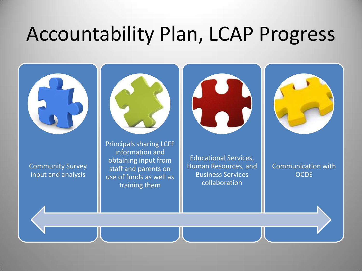### Accountability Plan, LCAP Progress